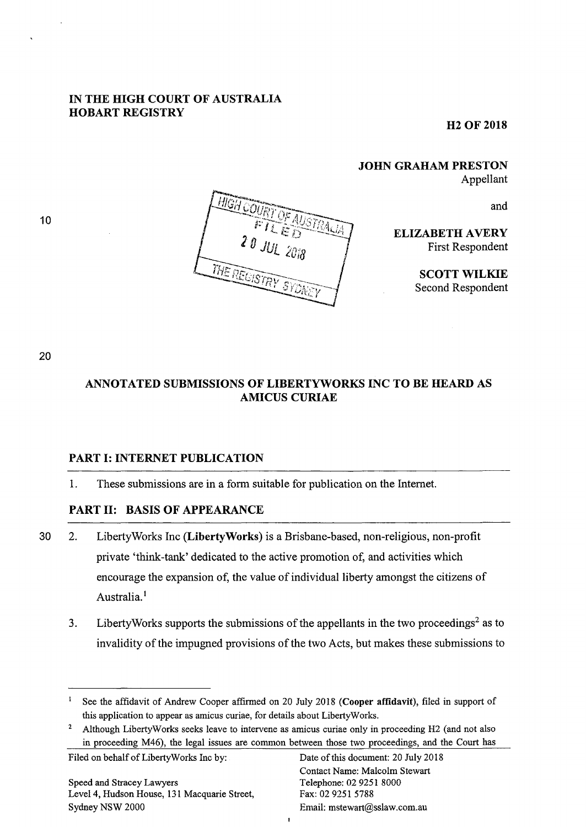## IN THE HIGH COURT OF AUSTRALIA HOBART REGISTRY

**H2 OF 2018** 

JOHN GRAHAM PRESTON Appellant

and

ELIZABETH AVERY First Respondent

> SCOTT WILKIE Second Respondent

10



20

# ANNOTATED SUBMISSIONS OF LIBERTYWORKS INC TO BE HEARD AS AMICUS CURIAE

## PART 1: INTERNET PUBLICATION

1. These submissions are in a form suitable for publication on the Internet.

## PART 11: BASIS OF APPEARANCE

- 30 2. LibertyWorks Inc (LibertyWorks) is a Brisbane-based, non-religious, non-profit private 'think-tank' dedicated to the active promotion of, and activities which encourage the expansion of, the value of individual liberty amongst the citizens of Australia.<sup>1</sup>
	- 3. Liberty Works supports the submissions of the appellants in the two proceedings<sup>2</sup> as to invalidity of the impugned provisions of the two Acts, but makes these submissions to

 $\bullet$ 

Filed on behalf of LibertyWorks Inc by: Date of this document: 20 July 2018

<sup>&</sup>lt;sup>1</sup> See the affidavit of Andrew Cooper affirmed on 20 July 2018 (Cooper affidavit), filed in support of this application to appear as amicus curiae, for details about LibertyWorks.

<sup>&</sup>lt;sup>2</sup> Although LibertyWorks seeks leave to intervene as amicus curiae only in proceeding H2 (and not also in proceeding M46), the legal issues are common between those two proceedings, and the Court has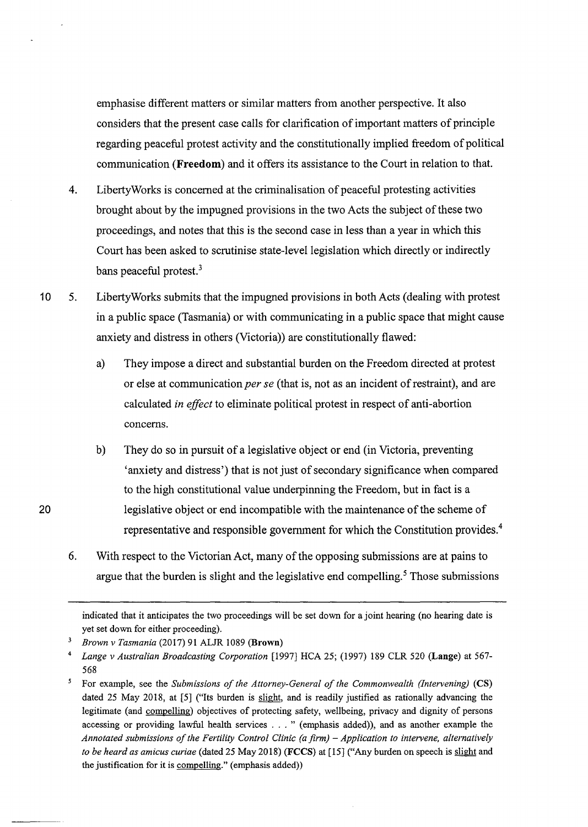emphasise different matters or similar matters from another perspective. It also considers that the present case calls for clarification of important matters of principle regarding peaceful protest activity and the constitutionally implied freedom of political communication **(Freedom)** and it offers its assistance to the Court in relation to that.

- 4. LibertyWorks is concerned at the criminalisation of peaceful protesting activities brought about by the impugned provisions in the two Acts the subject of these two proceedings, and notes that this is the second case in less than a year in which this Court has been asked to scrutinise state-level legislation which directly or indirectly bans peaceful protest.<sup>3</sup>
- 10 5. LibertyWorks submits that the impugned provisions in both Acts (dealing with protest in a public space (Tasmania) or with communicating in a public space that might cause anxiety and distress in others (Victoria)) are constitutionally flawed:
	- a) They impose a direct and substantial burden on the Freedom directed at protest or else at communication *per se* (that is, not as an incident of restraint), and are calculated *in effect* to eliminate political protest in respect of anti-abortion concerns.
	- b) They do so in pursuit of a legislative object or end (in Victoria, preventing 'anxiety and distress') that is not just of secondary significance when compared to the high constitutional value underpinning the Freedom, but in fact is a legislative object or end incompatible with the maintenance of the scheme of representative and responsible government for which the Constitution provides.<sup>4</sup>
	- 6. With respect to the Victorian Act, many of the opposing submissions are at pains to argue that the burden is slight and the legislative end compelling.<sup>5</sup> Those submissions

indicated that it anticipates the two proceedings will be set down for a joint hearing (no hearing date is yet set down for either proceeding).

<sup>3</sup>*Brown v Tasmania* (2017) 91 ALJR 1089 (Brown)

<sup>4</sup>*Lange v Australian Broadcasting Corporation* [1997} HCA 25; (1997) 189 CLR 520 (Lange) at 567- 568

<sup>&</sup>lt;sup>5</sup> For example, see the *Submissions of the Attorney-General of the Commonwealth (Intervening)* (CS) dated 25 May 2018, at [5] ("Its burden is slight, and is readily justified as rationally advancing the legitimate (and compelling) objectives of protecting safety, wellbeing, privacy and dignity of persons accessing or providing lawful health services ... " (emphasis added)), and as another example the *Annotated submissions of the Fertility Control Clinic (a firm)* - *Application to intervene, alternatively to be heard as amicus curiae* (dated 25 May 2018) (FCCS) at [15] ("Any burden on speech is slight and the justification for it is compelling." (emphasis added))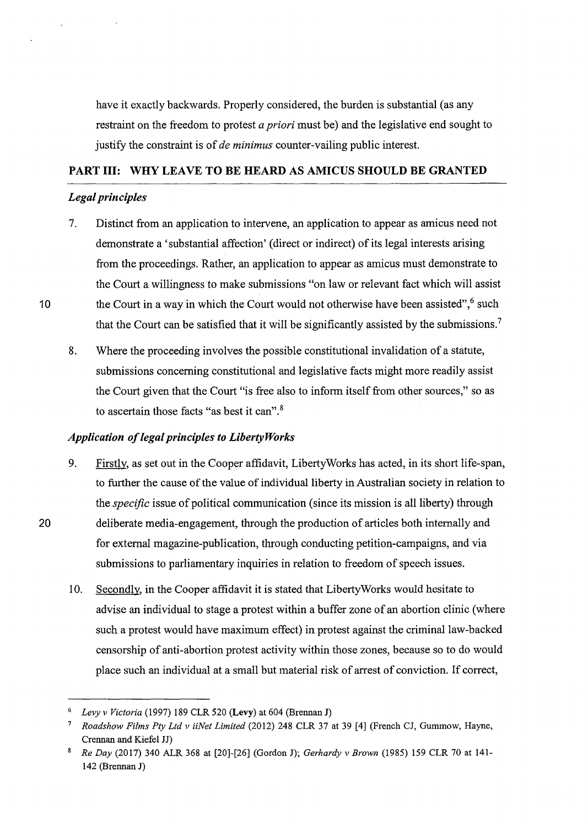have it exactly backwards. Properly considered, the burden is substantial (as any restraint on the freedom to protest *a priori* must be) and the legislative end sought to justify the constraint is of *de minimus* counter-vailing public interest.

## PART III: WHY LEAVE TO BE HEARD AS AMICUS SHOULD BE GRANTED

## *Legal principles*

- 7. Distinct from an application to intervene, an application to appear as amicus need not demonstrate a 'substantial affection' (direct or indirect) of its legal interests arising from the proceedings. Rather, an application to appear as amicus must demonstrate to the Court a willingness to make submissions "on law or relevant fact which will assist the Court in a way in which the Court would not otherwise have been assisted",<sup>6</sup> such that the Court can be satisfied that it will be significantly assisted by the submissions.<sup>7</sup>
- 8. Where the proceeding involves the possible constitutional invalidation of a statute, submissions concerning constitutional and legislative facts might more readily assist the Court given that the Court "is free also to inform itself from other sources," so as to ascertain those facts "as best it can". 8

#### *Application of legal principles to Liberty Works*

- 9. Firstly, as set out in the Cooper affidavit, LibertyWorks has acted, in its short life-span, to further the cause of the value of individual liberty in Australian society in relation to the *specific* issue of political communication (since its mission is all liberty) through 20 deliberate media-engagement, through the production of articles both internally and for external magazine-publication, through conducting petition-campaigns, and via submissions to parliamentary inquiries in relation to freedom of speech issues.
	- 10. Secondly, in the Cooper affidavit it is stated that Liberty Works would hesitate to advise an individual to stage a protest within a buffer zone of an abortion clinic (where such a protest would have maximum effect) in protest against the criminal law-backed censorship of anti-abortion protest activity within those zones, because so to do would place such an individual at a small but material risk of arrest of conviction. If correct,

<sup>6</sup>*Levy v Victoria* (1997) 189 CLR 520 (Levy) at 604 (Brennan J)

<sup>7</sup>*Roadshow Films Pty Ltd v iiNet Limited* (2012) 248 CLR 37 at 39 [4] (French CJ, Gummow, Hayne, Crennan and Kiefel JJ)

<sup>8</sup>*Re Day* (2017) 340 ALR 368 at [20]-[26] (Gordon J); *Gerhardy v Brown* (1985) 159 CLR 70 at 141- 142 (Brennan J)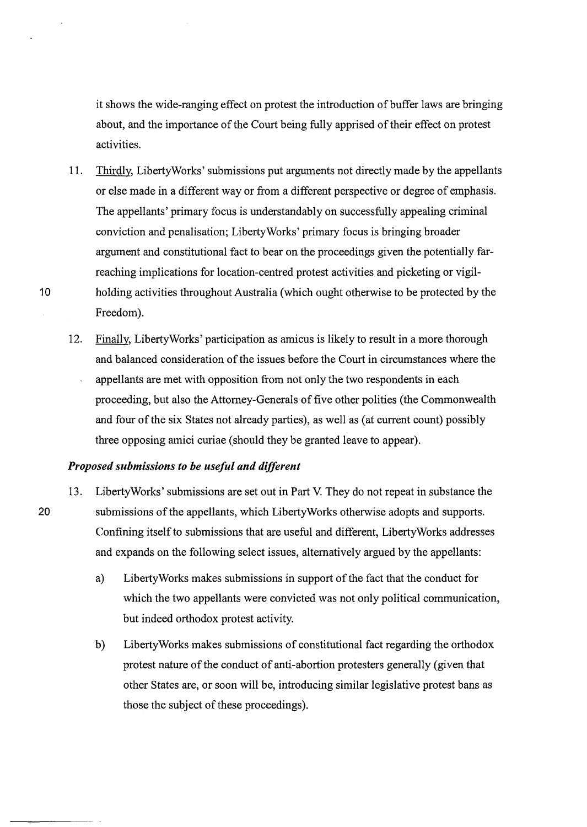it shows the wide-ranging effect on protest the introduction of buffer laws are bringing about, and the importance of the Court being fully apprised of their effect on protest activities.

- 11. Thirdly, LibertyWorks' submissions put arguments not directly made by the appellants or else made in a different way or from a different perspective or degree of emphasis. The appellants' primary focus is understandably on successfully appealing criminal conviction and penalisation; Liberty Works' primary focus is bringing broader argument and constitutional fact to bear on the proceedings given the potentially farreaching implications for location-centred protest activities and picketing or vigil-10 holding activities throughout Australia (which ought otherwise to be protected by the Freedom).
	- 12. Finally, LibertyWorks' participation as amicus is likely to result in a more thorough and balanced consideration of the issues before the Court in circumstances where the appellants are met with opposition from not only the two respondents in each proceeding, but also the Attorney-Generals of five other polities (the Commonwealth and four of the six States not already parties), as well as (at current count) possibly three opposing amici curiae (should they be granted leave to appear).

#### *Proposed submissions to be useful and different*

- 13. Liberty Works' submissions are set out in Part V. They do not repeat in substance the 20 submissions of the appellants, which Liberty Works otherwise adopts and supports. Confining itself to submissions that are useful and different, LibertyWorks addresses and expands on the following select issues, alternatively argued by the appellants:
	- a) LibertyWorks makes submissions in support of the fact that the conduct for which the two appellants were convicted was not only political communication, but indeed orthodox protest activity.
	- b) LibertyWorks makes submissions of constitutional fact regarding the orthodox protest nature of the conduct of anti-abortion protesters generally (given that other States are, or soon will be, introducing similar legislative protest bans as those the subject of these proceedings).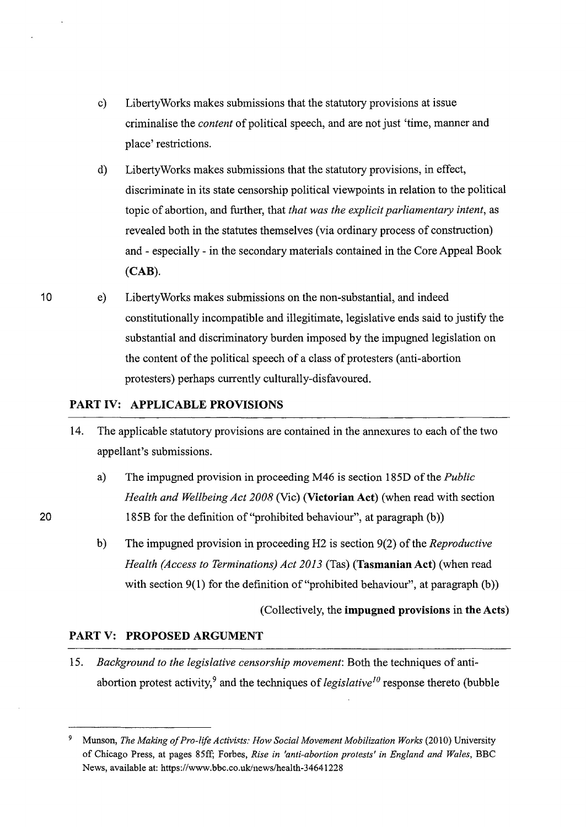- c) Liberty Works makes submissions that the statutory provisions at issue criminalise the *content* of political speech, and are not just 'time, manner and place' restrictions.
- d) LibertyWorks makes submissions that the statutory provisions, in effect, discriminate in its state censorship political viewpoints in relation to the political topic of abortion, and further, that *that was the explicit parliamentary intent,* as revealed both in the statutes themselves (via ordinary process of construction) and - especially - in the secondary materials contained in the Core Appeal Book (CAB).
- e) LibertyWorks makes submissions on the non-substantial, and indeed constitutionally incompatible and illegitimate, legislative ends said to justify the substantial and discriminatory burden imposed by the impugned legislation on the content of the political speech of a class of protesters (anti-abortion protesters) perhaps currently culturally-disfavoured.

## PART IV: APPLICABLE PROVISIONS

- 14. The applicable statutory provisions are contained in the annexures to each of the two appellant's submissions.
	- a) The impugned provision in proceeding M46 is section 185D of the *Public Health and Wellbeing Act 2008* (Vie) (Victorian Act) (when read with section 185B for the definition of"prohibited behaviour", at paragraph (b))
	- b) The impugned provision in proceeding H2 is section 9(2) of the *Reproductive Health (Access to Terminations) Act 2013* (Tas) (Tasmanian Act) (when read with section  $9(1)$  for the definition of "prohibited behaviour", at paragraph (b))

(Collectively, the impugned provisions in the Acts)

## PART V: PROPOSED ARGUMENT

15. *Background to the legislative censorship movement:* Both the techniques of antiabortion protest activity,<sup>9</sup> and the techniques of *legislative<sup>10</sup>* response thereto (bubble

10

<sup>&</sup>lt;sup>9</sup> Munson, *The Making of Pro-life Activists: How Social Movement Mobilization Works* (2010) University of Chicago Press, at pages 85ff; Forbes, *Rise in 'anti-abortion protests' in England and Wales,* BBC News, available at: https://www.bbc.eo.uk/news/health-34641228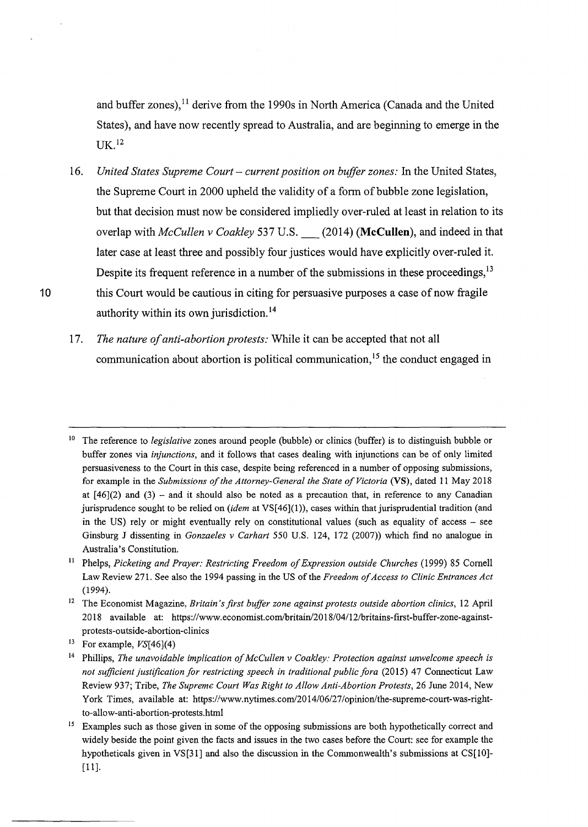and buffer zones),<sup>11</sup> derive from the 1990s in North America (Canada and the United States), and have now recently spread to Australia, and are beginning to emerge in the UK.1z

- 16. *United States Supreme Court current position on buffer zones:* In the United States, the Supreme Court in 2000 upheld the validity of a fonn of bubble zone legislation, but that decision must now be considered impliedly over-ruled at least in relation to its overlap with *McCullen v Coakley* 537 U.S. \_ (2014) **(McCullen),** and indeed in that later case at least three and possibly four justices would have explicitly over-ruled it. Despite its frequent reference in a number of the submissions in these proceedings,<sup>13</sup> 10 this Court would be cautious in citing for persuasive purposes a case of now fragile authority within its own jurisdiction. <sup>14</sup>
	- 17. *The nature of anti-abortion protests:* While it can be accepted that not all communication about abortion is political communication,  $1<sup>5</sup>$  the conduct engaged in

<sup>&</sup>lt;sup>10</sup> The reference to *legislative* zones around people (bubble) or clinics (buffer) is to distinguish bubble or buffer zones via *injunctions,* and it follows that cases dealing with injunctions can be of only limited persuasiveness to the Court in this case, despite being referenced in a number of opposing submissions, for example in the *Submissions of the Attorney-General the State of Victoria* (VS), dated 11 May 2018 at  $[46](2)$  and  $(3)$  - and it should also be noted as a precaution that, in reference to any Canadian jurisprudence sought to be relied on *(idem* at VS[46](1)), cases within that jurisprudential tradition (and in the US) rely or might eventually rely on constitutional values (such as equality of access – see Ginsburg J dissenting in *Gonzaeles v Carhart* 550 U.S. 124, 172 (2007)) which find no analogue in Australia's Constitution.

<sup>&</sup>lt;sup>11</sup> Phelps, *Picketing and Prayer: Restricting Freedom of Expression outside Churches* (1999) 85 Cornell Law Review 271. See also the 1994 passing in the US of the *Freedom of Access to Clinic Entrances Act* (1994).

<sup>&</sup>lt;sup>12</sup> The Economist Magazine, *Britain's first buffer zone against protests outside abortion clinics*, 12 April 20 18 available at: https:/ /www.economist.com/britain/20 18/04/12/britains-first-buffer-zone-againstprotests-outside-abortion-clinics

<sup>&</sup>lt;sup>13</sup> For example,  $VS[46](4)$ 

<sup>14</sup> Phillips, *The unavoidable implication of McCullen v Coakley: Protection against unwelcome speech is not sufficient justification for restricting speech in traditional public fora* (2015) 47 Connecticut Law Review 937; Tribe, *The Supreme Court Was Right to Allow Anti-Abortion Protests,* 26 June 2014, New York Times, available at: https://www.nytimes.com/20 14/06/27 /opinion/the-supreme-court-was-rightto-allow-anti-abortion-protests.html

<sup>&</sup>lt;sup>15</sup> Examples such as those given in some of the opposing submissions are both hypothetically correct and widely beside the point given the facts and issues in the two cases before the Court: see for example the hypotheticals given in VS[31] and also the discussion in the Commonwealth's submissions at CS[10]- [ll].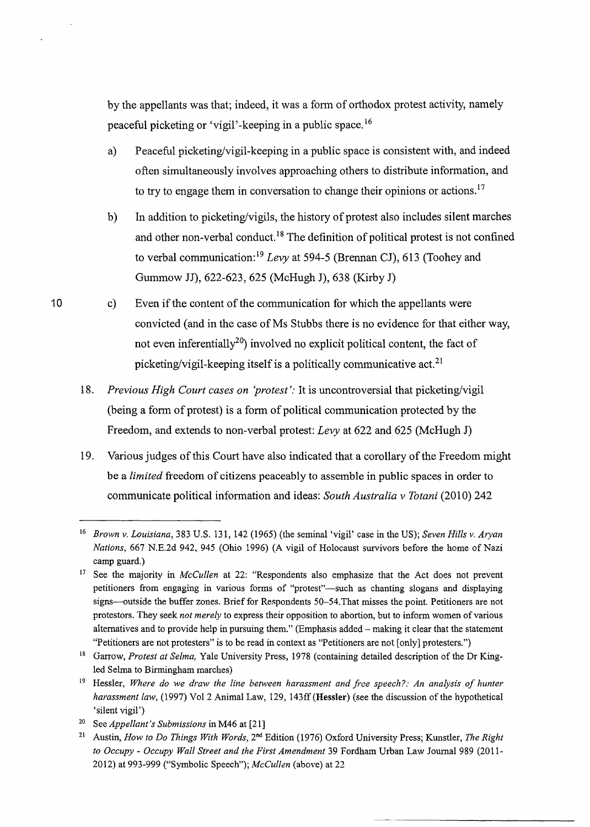by the appellants was that; indeed, it was a form of orthodox protest activity, namely peaceful picketing or 'vigil' -keeping in a public space. <sup>16</sup>

- a) Peaceful picketing/vigil-keeping in a public space is consistent with, and indeed often simultaneously involves approaching others to distribute information, and to try to engage them in conversation to change their opinions or actions.<sup>17</sup>
- b) In addition to picketing/vigils, the history of protest also includes silent marches and other non-verbal conduct. 18 The definition of political protest is not confined to verbal communication: <sup>19</sup>*Levy* at 594-5 (Brennan CJ), 613 (Toohey and Gummow JJ), 622-623, 625 (McHugh J), 638 (Kirby J)
- c) Even if the content of the communication for which the appellants were convicted (and in the case of Ms Stubbs there is no evidence for that either way, not even inferentially<sup>20</sup>) involved no explicit political content, the fact of picketing/vigil-keeping itself is a politically communicative act.<sup>21</sup>
- 18. *Previous High Court cases on 'protest':* It is uncontroversial that picketing/vigil (being a form of protest) is a form of political communication protected by the Freedom, and extends to non-verbal protest: *Levy* at 622 and 625 (McHugh J)
- 19. Various judges of this Court have also indicated that a corollary of the Freedom might be a *limited* freedom of citizens peaceably to assemble in public spaces in order to communicate political information and ideas: *South Australia v Totani* (2010) 242

<sup>16</sup>*Brown v. Louisiana,* 383 U.S. 131, 142 (1965) (the seminal 'vigil' case in the US); *Seven Hills v. Aryan Nations,* 667 N.E.2d 942, 945 (Ohio 1996) (A vigil of Holocaust survivors before the home of Nazi camp guard.)

<sup>17</sup> See the majority in *McCullen* at 22: "Respondents also emphasize that the Act does not prevent petitioners from engaging in various forms of "protest"—such as chanting slogans and displaying signs-outside the buffer zones. Brief for Respondents 50-54. That misses the point. Petitioners are not protestors. They seek *not merely* to express their opposition to abortion, but to inform women of various alternatives and to provide help in pursuing them." (Emphasis added- making it clear that the statement "Petitioners are not protesters" is to be read in context as "Petitioners are not [only] protesters.")

<sup>18</sup> Garrow, *Protest at Selma,* Yale University Press, 1978 (containing detailed description of the Dr Kingled Selma to Birmingham marches)

<sup>&</sup>lt;sup>19</sup> Hessler, *Where do we draw the line between harassment and free speech?: An analysis of hunter harassment law,* (1997) Vol2 Animal Law, 129, 143ff (Hessler) (see the discussion of the hypothetical 'silent vigil')

<sup>20</sup> See *Appellant's Submissions* in M46 at [21]

<sup>21</sup> Austin, *How to Do Things With Words,* 2nd Edition (1976) Oxford University Press; Kunstler, *The Right to Occupy- Occupy Wall Street and the First Amendment* 39 Fordham Urban Law Journal 989 (2011- 2012) at 993-999 ("Symbolic Speech"); *McCullen* (above) at 22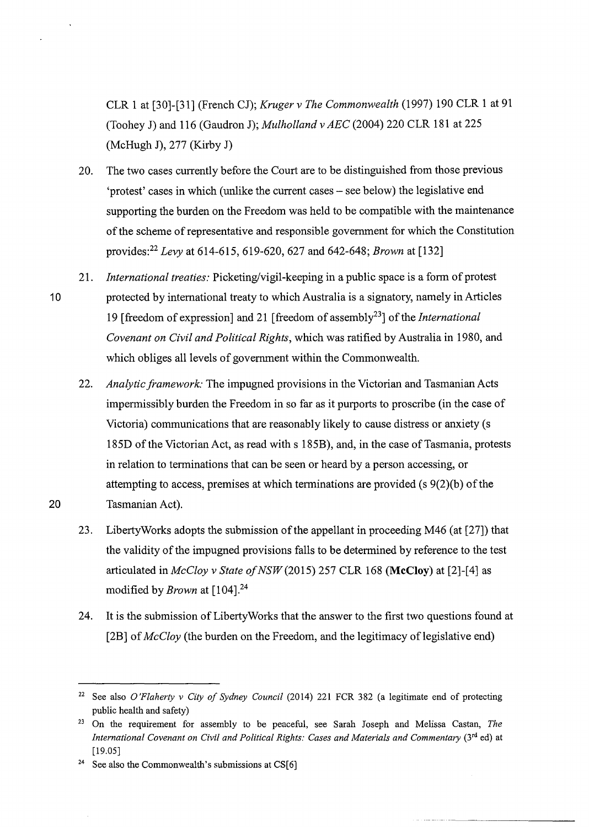CLR 1 at [30]-[31] (French CJ); *Kruger v The Commonwealth* (1997) 190 CLR 1 at 91 (Toohey J) and 116 (Gaudron J); *Mulholland v AEC* (2004) 220 CLR 181 at 225 (McHugh J), 277 (Kirby J)

- 20. The two cases currently before the Court are to be distinguished from those previous 'protest' cases in which (unlike the current cases- see below) the legislative end supporting the burden on the Freedom was held to be compatible with the maintenance of the scheme of representative and responsible government for which the Constitution provides:<sup>22</sup>*Levy* at 614-615,619-620,627 and 642-648; *Brown* at [132]
- 21. *International treaties:* Picketing/vigil-keeping in a public space is a form of protest 10 protected by international treaty to which Australia is a signatory, namely in Articles 19 [freedom of expression] and 21 [freedom of assembly23] of the *International Covenant on Civil and Political Rights,* which was ratified by Australia in 1980, and which obliges all levels of government within the Commonwealth.
- 22. *Analytic framework:* The impugned provisions in the Victorian and Tasmanian Acts impermissibly burden the Freedom in so far as it purports to proscribe (in the case of Victoria) communications that are reasonably likely to cause distress or anxiety (s 185D of the Victorian Act, as read with s 185B), and, in the case of Tasmania, protests in relation to terminations that can be seen or heard by a person accessing, or attempting to access, premises at which terminations are provided (s 9(2)(b) of the 20 Tasmanian Act).
	- 23. LibertyWorks adopts the submission of the appellant in proceeding M46 (at [27]) that the validity of the impugned provisions falls to be determined by reference to the test articulated in *McCloy v State of NSW* (2015) 257 CLR 168 **(McCloy)** at [2]-[4] as modified by *Brown* at [104].<sup>24</sup>
	- 24. It is the submission of LibertyWorks that the answer to the first two questions found at [2B] of *McCloy* (the burden on the Freedom, and the legitimacy of legislative end)

<sup>22</sup> See also *O'Flaherty v City of Sydney Council* (2014) 221 FCR 382 (a legitimate end of protecting public health and safety)

<sup>23</sup> On the requirement for assembly to be peaceful, see Sarah Joseph and Melissa Castan, *The International Covenant on Civil and Political Rights: Cases and Materials and Commentary (3<sup>rd</sup> ed) at* [19.05]

<sup>&</sup>lt;sup>24</sup> See also the Commonwealth's submissions at CS $[6]$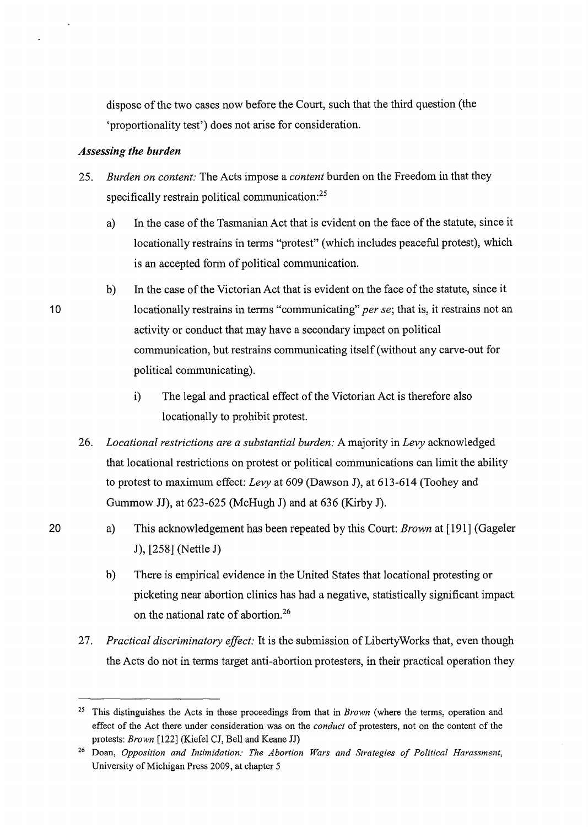dispose of the two cases now before the Court, such that the third question (the 'proportionality test') does not arise for consideration.

### *Assessing the burden*

- 25. *Burden on content:* The Acts impose a *content* burden on the Freedom in that they specifically restrain political communication:<sup>25</sup>
	- a) In the case of the Tasmanian Act that is evident on the face of the statute, since it locationally restrains in terms "protest" (which includes peaceful protest), which is an accepted form of political communication.
	- b) In the case of the Victorian Act that is evident on the face of the statute, since it locationally restrains in terms "communicating" *per se*; that is, it restrains not an activity or conduct that may have a secondary impact on political communication, but restrains communicating itself (without any carve-out for political communicating).
		- i) The legal and practical effect of the Victorian Act is therefore also locationally to prohibit protest.
- 26. *Locational restrictions are a substantial burden:* A majority in *Levy* acknowledged that locational restrictions on protest or political communications can limit the ability to protest to maximum effect: *Levy* at 609 (Dawson J), at 613-614 (Toohey and Gummow JJ), at 623-625 (McHugh J) and at 636 (Kirby J).
- a) This acknowledgement has been repeated by this Court: *Brown* at [191] (Gageler J), [258] (Nettle J)
	- b) There is empirical evidence in the United States that locational protesting or picketing near abortion clinics has had a negative, statistically significant impact on the national rate of abortion.26
- 27. *Practical discriminatory effect:* It is the submission of LibertyWorks that, even though the Acts do not in terms target anti-abortion protesters, in their practical operation they

20

<sup>25</sup> This distinguishes the Acts in these proceedings from that in *Brown* (where the terms, operation and effect of the Act there under consideration was on the *conduct* of protesters, not on the content of the protests: *Brown* [122] (Kiefel CJ, Bell and Keane JJ)

<sup>26</sup> Doan, *Opposition and Intimidation: The Abortion Wars and Strategies of Political Harassment,*  University of Michigan Press 2009, at chapter 5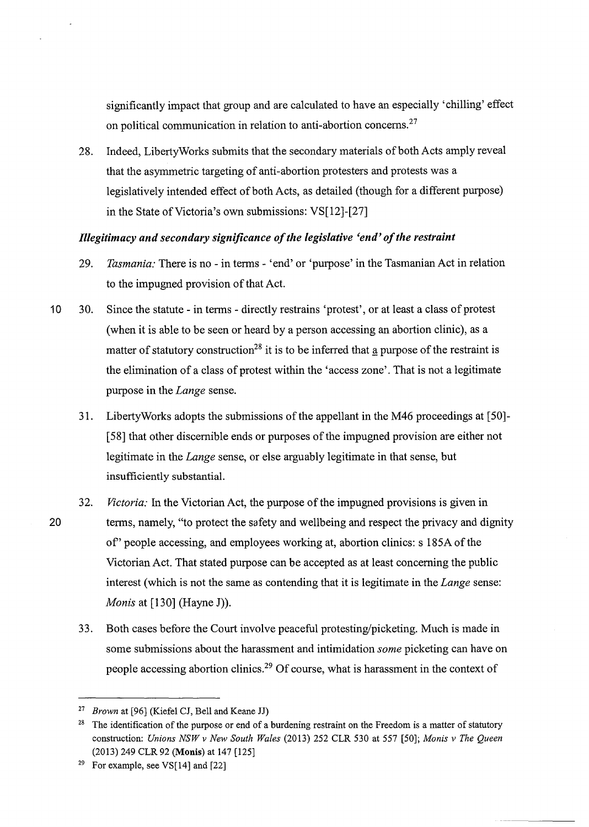significantly impact that group and are calculated to have an especially 'chilling' effect on political communication in relation to anti-abortion concerns.<sup>27</sup>

28. Indeed, LibertyWorks submits that the secondary materials of both Acts amply reveal that the asymmetric targeting of anti-abortion protesters and protests was a legislatively intended effect of both Acts, as detailed (though for a different purpose) in the State of Victoria's own submissions:  $VS[12]-[27]$ 

## *Illegitimacy and secondary significance of the legislative 'end' of the restraint*

- 29. *Tasmania:* There is no -in terms 'end' or 'purpose' in the Tasmanian Act in relation to the impugned provision of that Act.
- 10 30. Since the statute in tenns directly restrains 'protest', or at least a class of protest (when it is able to be seen or heard by a person accessing an abortion clinic), as a matter of statutory construction<sup>28</sup> it is to be inferred that a purpose of the restraint is the elimination of a class of protest within the 'access zone'. That is not a legitimate purpose in the *Lange* sense.
	- 31. LibertyWorks adopts the submissions of the appellant in the M46 proceedings at [50]- [ 58] that other discernible ends or purposes of the impugned provision are either not legitimate in the *Lange* sense, or else arguably legitimate in that sense, but insufficiently substantial.
- 32. *Victoria:* In the Victorian Act, the purpose of the impugned provisions is given in 20 terms, namely, "to protect the safety and wellbeing and respect the privacy and dignity of' people accessing, and employees working at, abortion clinics: s 185A of the Victorian Act. That stated purpose can be accepted as at least concerning the public interest (which is not the same as contending that it is legitimate in the *Lange* sense: *Monis* at [130] (Hayne J)).
	- 33. Both cases before the Court involve peaceful protesting/picketing. Much is made in some submissions about the harassment and intimidation *some* picketing can have on people accessing abortion clinics.29 Of course, what is harassment in the context of

<sup>27</sup>*Brown* at [96] (Kiefel CJ, Bell and Keane JJ)

<sup>&</sup>lt;sup>28</sup> The identification of the purpose or end of a burdening restraint on the Freedom is a matter of statutory construction: *Unions NSW v New South Wales* (2013) 252 CLR 530 at 557 [50]; *Monis v The Queen*  (2013) 249 CLR 92 (Monis) at 147 [125]

<sup>&</sup>lt;sup>29</sup> For example, see VS $[14]$  and  $[22]$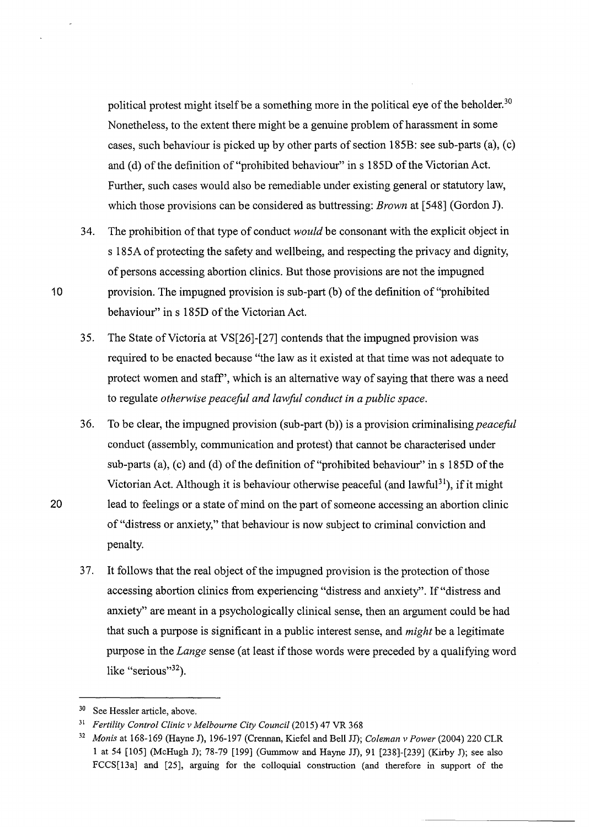political protest might itself be a something more in the political eye of the beholder.<sup>30</sup> Nonetheless, to the extent there might be a genuine problem of harassment in some cases, such behaviour is picked up by other parts of section 185B: see sub-parts (a), (c) and (d) of the definition of "prohibited behaviour" in s 185D of the Victorian Act. Further, such cases would also be remediable under existing general or statutory law, which those provisions can be considered as buttressing: *Brown* at [548] (Gordon J).

- 34. The prohibition of that type of conduct *would* be consonant with the explicit object in s 185A of protecting the safety and wellbeing, and respecting the privacy and dignity, of persons accessing abortion clinics. But those provisions are not the impugned 10 provision. The impugned provision is sub-part (b) of the definition of "prohibited" behaviour" in s 185D of the Victorian Act.
	- 35. The State of Victoria at VS[26]-[27] contends that the impugned provision was required to be enacted because "the law as it existed at that time was not adequate to protect women and staff', which is an alternative way of saying that there was a need to regulate *otherwise peaceful and lawful conduct in a public space.*
- 36. To be clear, the impugned provision (sub-part  $(b)$ ) is a provision criminalising *peaceful* conduct (assembly, communication and protest) that cannot be characterised under sub-parts (a), (c) and (d) of the definition of "prohibited behaviour" in  $s$  185D of the Victorian Act. Although it is behaviour otherwise peaceful (and lawful<sup>31</sup>), if it might 20 lead to feelings or a state of mind on the part of someone accessing an abortion clinic of"distress or anxiety," that behaviour is now subject to criminal conviction and penalty.
	- 37. It follows that the real object of the impugned provision is the protection of those accessing abortion clinics from experiencing "distress and anxiety". If "distress and anxiety" are meant in a psychologically clinical sense, then an argument could be had that such a purpose is significant in a public interest sense, and *might* be a legitimate purpose in the *Lange* sense (at least if those words were preceded by a qualifying word like "serious"<sup>32</sup>).

<sup>30</sup> See Hessler article, above.

<sup>&</sup>lt;sup>31</sup> Fertility Control Clinic v Melbourne City Council (2015) 47 VR 368

<sup>32</sup>*Monis* at 168-169 (Hayne J), 196-197 (Crennan, Kiefel and Bell JJ); *Coleman v Power* (2004) 220 CLR 1 at 54 [105] (McHugh J); 78-79 [199] (Gummow and Hayne JJ), 91 [238]-[239] (Kirby J); see also FCCS[l3a] and [25], arguing for the colloquial construction (and therefore in support of the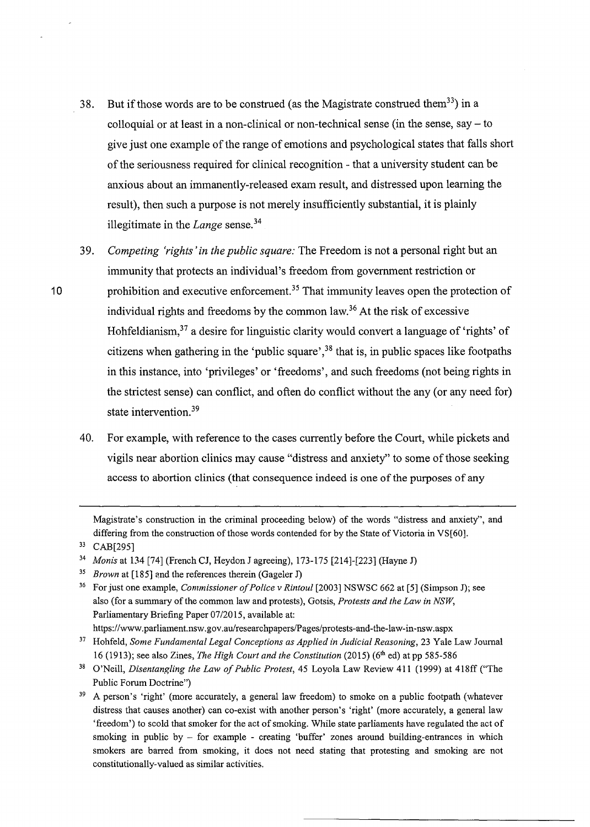- 38. But if those words are to be construed (as the Magistrate construed them<sup>33</sup>) in a colloquial or at least in a non-clinical or non-technical sense (in the sense, say  $-$  to give just one example of the range of emotions and psychological states that falls short of the seriousness required for clinical recognition - that a university student can be anxious about an immanently-released exam result, and distressed upon learning the result), then such a purpose is not merely insufficiently substantial, it is plainly illegitimate in the *Lange* sense. 34
- 3 9. *Competing 'rights 'in the public square:* The Freedom is not a personal right but an immunity that protects an individual's freedom from government restriction or 10 prohibition and executive enforcement.<sup>35</sup> That immunity leaves open the protection of individual rights and freedoms by the common law. 36 At the risk of excessive Hohfeldianism, $37$  a desire for linguistic clarity would convert a language of 'rights' of citizens when gathering in the 'public square',<sup>38</sup> that is, in public spaces like footpaths in this instance, into 'privileges' or 'freedoms', and such freedoms (not being rights in the strictest sense) can conflict, and often do conflict without the any (or any need for) state intervention. 39
	- 40. For example, with reference to the cases currently before the Court, while pickets and vigils near abortion clinics may cause "distress and anxiety" to some of those seeking access to abortion clinics (that consequence indeed is one of the purposes of any

Magistrate's construction in the criminal proceeding below) of the words "distress and anxiety", and differing from the construction of those words contended for by the State of Victoria in VS[60].

<sup>33</sup> CAB[295]

<sup>34</sup>*Monis* at 134 [74] (French CJ, Heydon J agreeing), 173-175 [214]-[223] (Hayne J)

<sup>35</sup>*Brown* at [185] and the references therein (Gageler J)

<sup>36</sup> For just one example, *Commissioner of Police v Rintoul* [2003] NSWSC 662 at [5] (Simpson J); see also (for a summary of the common law and protests), Gotsis, *Protests and the Law in NSW,*  Parliamentary Briefing Paper 07/2015, available at: https://www.parliament.nsw.gov.au/researchpapers/Pages/protests-and-the-law-in-nsw.aspx

<sup>&</sup>lt;sup>37</sup> Hohfeld, *Some Fundamental Legal Conceptions as Applied in Judicial Reasoning*, 23 Yale Law Journal 16 (1913); see also Zines, *'I'he High Court and the Constitution* (2015) (61 <sup>h</sup>ed) at pp 585-586

<sup>38</sup> O'Neill, *Disentangling the Law of Public Protest,* 45 Loyola Law Review 411 (1999) at 418ff ("The Public Forum Doctrine")

<sup>&</sup>lt;sup>39</sup> A person's 'right' (more accurately, a general law freedom) to smoke on a public footpath (whatever distress that causes another) can co-exist with another person's 'right' (more accurately, a general law 'freedom') to scold that smoker for the act of smoking. While state parliaments have regulated the act of smoking in public by  $-$  for example  $-$  creating 'buffer' zones around building-entrances in which smokers are barred from smoking, it does not need stating that protesting and smoking are not constitutionally-valued as similar activities.